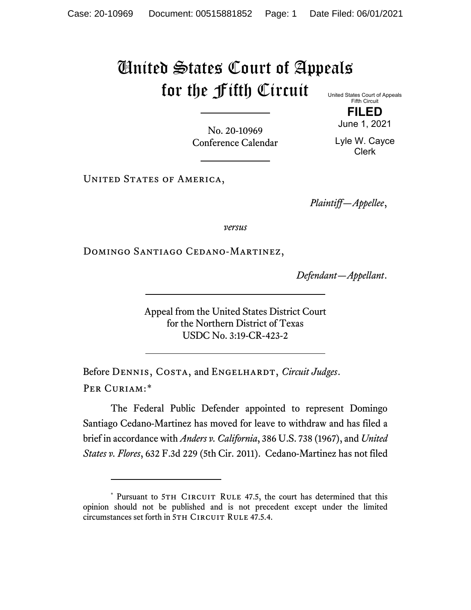## United States Court of Appeals for the Fifth Circuit United States Court of Appeals

Fifth Circuit **FILED**

June 1, 2021

No. 20-10969 Conference Calendar

Lyle W. Cayce Clerk

UNITED STATES OF AMERICA,

*Plaintiff—Appellee*,

*versus*

DOMINGO SANTIAGO CEDANO-MARTINEZ,

*Defendant—Appellant*.

Appeal from the United States District Court for the Northern District of Texas USDC No. 3:19-CR-423-2

Before DENNIS, COSTA, and ENGELHARDT, *Circuit Judges*. Per Curiam:[\\*](#page-0-0)

The Federal Public Defender appointed to represent Domingo Santiago Cedano-Martinez has moved for leave to withdraw and has filed a brief in accordance with *Anders v. California*, 386 U.S. 738 (1967), and *United States v. Flores*, 632 F.3d 229 (5th Cir. 2011). Cedano-Martinez has not filed

<span id="page-0-0"></span><sup>\*</sup> Pursuant to 5TH CIRCUIT RULE 47.5, the court has determined that this opinion should not be published and is not precedent except under the limited circumstances set forth in 5TH CIRCUIT RULE 47.5.4.